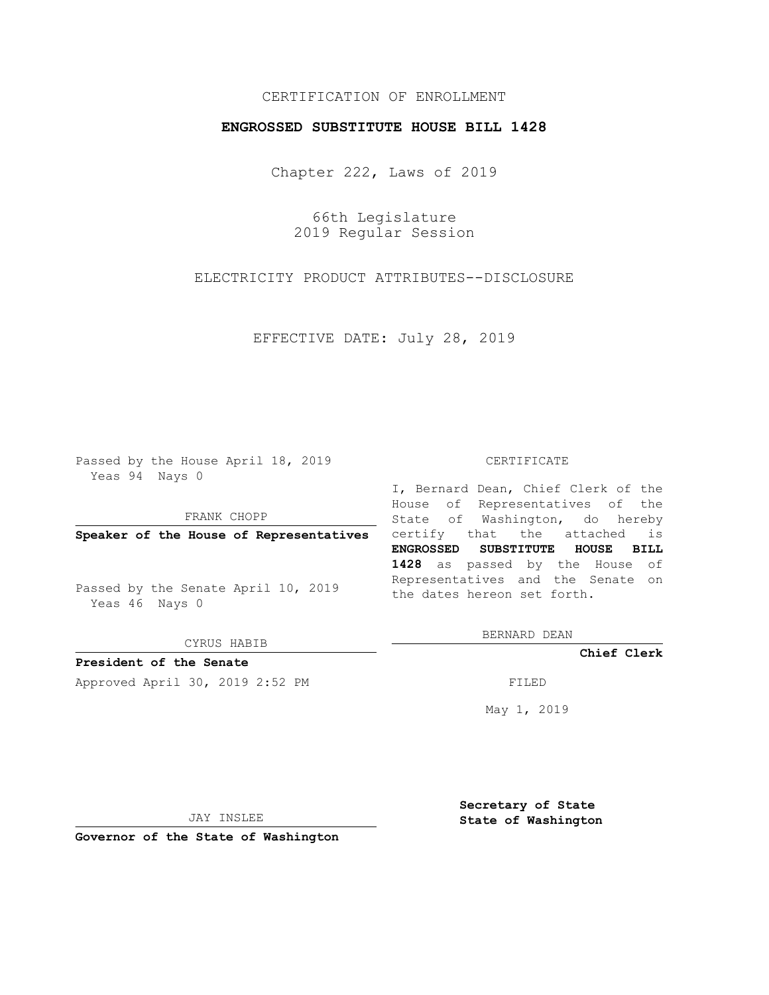### CERTIFICATION OF ENROLLMENT

### **ENGROSSED SUBSTITUTE HOUSE BILL 1428**

Chapter 222, Laws of 2019

66th Legislature 2019 Regular Session

ELECTRICITY PRODUCT ATTRIBUTES--DISCLOSURE

EFFECTIVE DATE: July 28, 2019

Passed by the House April 18, 2019 Yeas 94 Nays 0

FRANK CHOPP

Passed by the Senate April 10, 2019 Yeas 46 Nays 0

CYRUS HABIB

**President of the Senate**

Approved April 30, 2019 2:52 PM FILED

#### CERTIFICATE

**Speaker of the House of Representatives** certify that the attached is I, Bernard Dean, Chief Clerk of the House of Representatives of the State of Washington, do hereby **ENGROSSED SUBSTITUTE HOUSE BILL 1428** as passed by the House of Representatives and the Senate on the dates hereon set forth.

BERNARD DEAN

**Chief Clerk**

May 1, 2019

JAY INSLEE

**Governor of the State of Washington**

**Secretary of State State of Washington**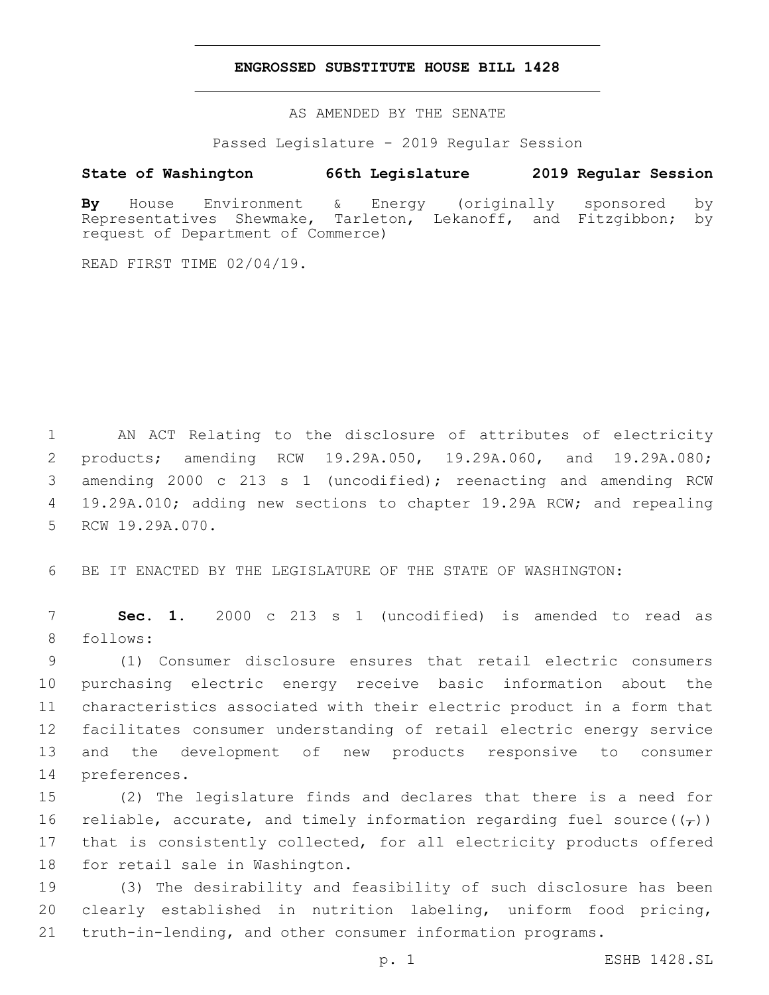#### **ENGROSSED SUBSTITUTE HOUSE BILL 1428**

AS AMENDED BY THE SENATE

Passed Legislature - 2019 Regular Session

# **State of Washington 66th Legislature 2019 Regular Session**

**By** House Environment & Energy (originally sponsored by Representatives Shewmake, Tarleton, Lekanoff, and Fitzgibbon; by request of Department of Commerce)

READ FIRST TIME 02/04/19.

 AN ACT Relating to the disclosure of attributes of electricity products; amending RCW 19.29A.050, 19.29A.060, and 19.29A.080; amending 2000 c 213 s 1 (uncodified); reenacting and amending RCW 19.29A.010; adding new sections to chapter 19.29A RCW; and repealing 5 RCW 19.29A.070.

6 BE IT ENACTED BY THE LEGISLATURE OF THE STATE OF WASHINGTON:

7 **Sec. 1.** 2000 c 213 s 1 (uncodified) is amended to read as 8 follows:

 (1) Consumer disclosure ensures that retail electric consumers purchasing electric energy receive basic information about the characteristics associated with their electric product in a form that facilitates consumer understanding of retail electric energy service and the development of new products responsive to consumer 14 preferences.

15 (2) The legislature finds and declares that there is a need for 16 reliable, accurate, and timely information regarding fuel source( $(\tau)$ ) 17 that is consistently collected, for all electricity products offered 18 for retail sale in Washington.

19 (3) The desirability and feasibility of such disclosure has been 20 clearly established in nutrition labeling, uniform food pricing, 21 truth-in-lending, and other consumer information programs.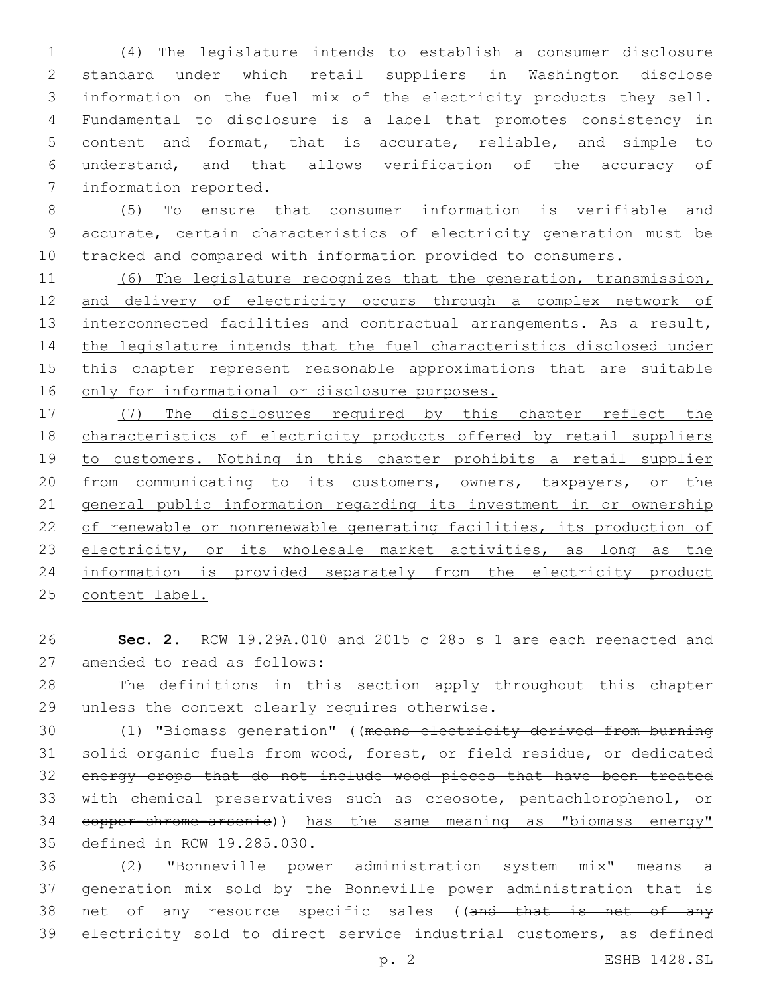(4) The legislature intends to establish a consumer disclosure standard under which retail suppliers in Washington disclose information on the fuel mix of the electricity products they sell. Fundamental to disclosure is a label that promotes consistency in content and format, that is accurate, reliable, and simple to understand, and that allows verification of the accuracy of 7 information reported.

 (5) To ensure that consumer information is verifiable and accurate, certain characteristics of electricity generation must be tracked and compared with information provided to consumers.

 (6) The legislature recognizes that the generation, transmission, and delivery of electricity occurs through a complex network of 13 interconnected facilities and contractual arrangements. As a result, the legislature intends that the fuel characteristics disclosed under 15 this chapter represent reasonable approximations that are suitable 16 only for informational or disclosure purposes.

 (7) The disclosures required by this chapter reflect the 18 characteristics of electricity products offered by retail suppliers to customers. Nothing in this chapter prohibits a retail supplier 20 from communicating to its customers, owners, taxpayers, or the general public information regarding its investment in or ownership of renewable or nonrenewable generating facilities, its production of 23 electricity, or its wholesale market activities, as long as the information is provided separately from the electricity product content label.

 **Sec. 2.** RCW 19.29A.010 and 2015 c 285 s 1 are each reenacted and 27 amended to read as follows:

 The definitions in this section apply throughout this chapter 29 unless the context clearly requires otherwise.

 (1) "Biomass generation" ((means electricity derived from burning solid organic fuels from wood, forest, or field residue, or dedicated energy crops that do not include wood pieces that have been treated with chemical preservatives such as creosote, pentachlorophenol, or copper-chrome-arsenic)) has the same meaning as "biomass energy" 35 defined in RCW 19.285.030.

 (2) "Bonneville power administration system mix" means a generation mix sold by the Bonneville power administration that is 38 net of any resource specific sales ((and that is net of any electricity sold to direct service industrial customers, as defined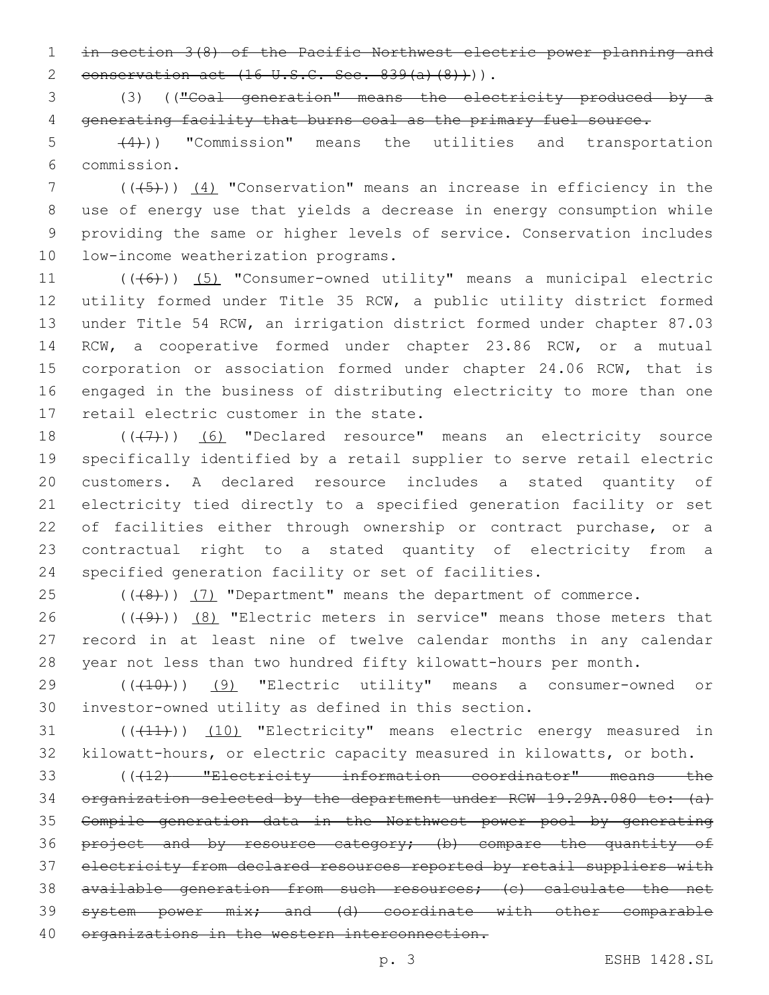1 in section 3(8) of the Pacific Northwest electric power planning and 2 conservation act  $(16 \text{ U.S.C. Sec. } 839(a)(8))$ .

3 (3) (("Coal generation" means the electricity produced by a 4 generating facility that burns coal as the primary fuel source.

 $(4)$ ) "Commission" means the utilities and transportation commission.6

 (((5))) (4) "Conservation" means an increase in efficiency in the use of energy use that yields a decrease in energy consumption while providing the same or higher levels of service. Conservation includes 10 low-income weatherization programs.

11 (((6)) (5) "Consumer-owned utility" means a municipal electric 12 utility formed under Title 35 RCW, a public utility district formed 13 under Title 54 RCW, an irrigation district formed under chapter 87.03 14 RCW, a cooperative formed under chapter 23.86 RCW, or a mutual 15 corporation or association formed under chapter 24.06 RCW, that is 16 engaged in the business of distributing electricity to more than one 17 retail electric customer in the state.

18 (((7)) (6) "Declared resource" means an electricity source specifically identified by a retail supplier to serve retail electric customers. A declared resource includes a stated quantity of electricity tied directly to a specified generation facility or set 22 of facilities either through ownership or contract purchase, or a contractual right to a stated quantity of electricity from a specified generation facility or set of facilities.

25 (((48)) (7) "Department" means the department of commerce.

26  $((+9)$ )  $(8)$  "Electric meters in service" means those meters that 27 record in at least nine of twelve calendar months in any calendar 28 year not less than two hundred fifty kilowatt-hours per month.

29 ((410)) (9) "Electric utility" means a consumer-owned or 30 investor-owned utility as defined in this section.

31 (((41))) (10) "Electricity" means electric energy measured in 32 kilowatt-hours, or electric capacity measured in kilowatts, or both.

 (((12) "Electricity information coordinator" means the 34 organization selected by the department under RCW 19.29A.080 to: (a) Compile generation data in the Northwest power pool by generating 36 project and by resource category; (b) compare the quantity of electricity from declared resources reported by retail suppliers with available generation from such resources; (c) calculate the net system power mix; and (d) coordinate with other comparable 40 organizations in the western interconnection.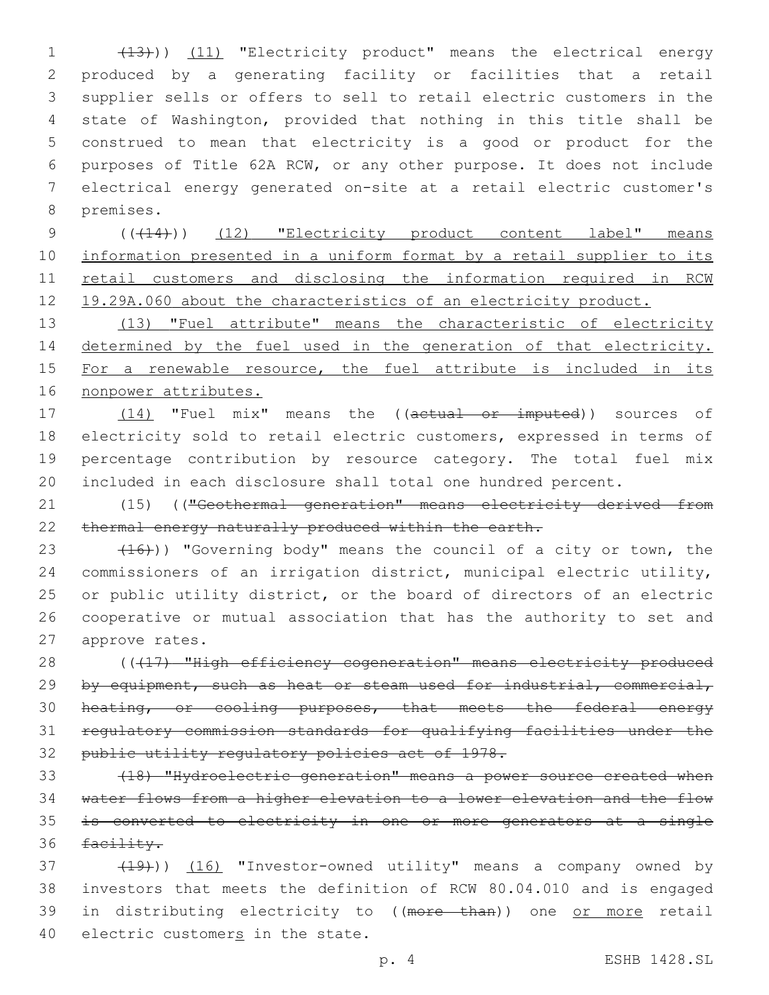(13))) (11) "Electricity product" means the electrical energy produced by a generating facility or facilities that a retail supplier sells or offers to sell to retail electric customers in the state of Washington, provided that nothing in this title shall be construed to mean that electricity is a good or product for the purposes of Title 62A RCW, or any other purpose. It does not include electrical energy generated on-site at a retail electric customer's 8 premises.

9 (( $(14)$ )) (12) "Electricity product content label" means 10 information presented in a uniform format by a retail supplier to its 11 retail customers and disclosing the information required in RCW 12 19.29A.060 about the characteristics of an electricity product.

13 (13) "Fuel attribute" means the characteristic of electricity 14 determined by the fuel used in the generation of that electricity. 15 For a renewable resource, the fuel attribute is included in its 16 nonpower attributes.

17 (14) "Fuel mix" means the ((actual or imputed)) sources of 18 electricity sold to retail electric customers, expressed in terms of 19 percentage contribution by resource category. The total fuel mix 20 included in each disclosure shall total one hundred percent.

21 (15) (("Geothermal generation" means electricity derived from 22 thermal energy naturally produced within the earth.

 $(16)$ ) "Governing body" means the council of a city or town, the commissioners of an irrigation district, municipal electric utility, or public utility district, or the board of directors of an electric cooperative or mutual association that has the authority to set and 27 approve rates.

28 ((417) "High efficiency cogeneration" means electricity produced 29 by equipment, such as heat or steam used for industrial, commercial, 30 heating, or cooling purposes, that meets the federal energy 31 regulatory commission standards for qualifying facilities under the 32 public utility regulatory policies act of 1978.

 (18) "Hydroelectric generation" means a power source created when water flows from a higher elevation to a lower elevation and the flow is converted to electricity in one or more generators at a single 36 facility.

37 (19)) (16) "Investor-owned utility" means a company owned by 38 investors that meets the definition of RCW 80.04.010 and is engaged 39 in distributing electricity to ((more than)) one or more retail 40 electric customers in the state.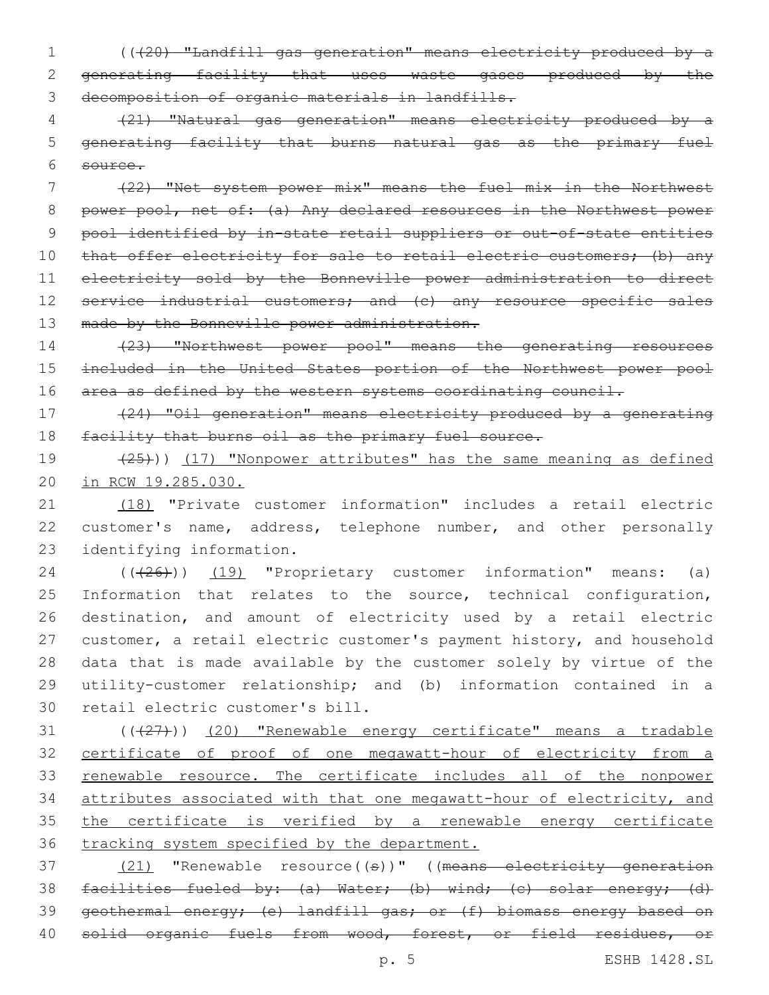1 (((20) "Landfill gas generation" means electricity produced by a 2 generating facility that uses waste gases produced by the 3 decomposition of organic materials in landfills.

4 (21) "Natural gas generation" means electricity produced by a 5 generating facility that burns natural gas as the primary fuel 6 source.

7 (22) "Net system power mix" means the fuel mix in the Northwest 8 power pool, net of: (a) Any declared resources in the Northwest power 9 pool identified by in-state retail suppliers or out-of-state entities 10 that offer electricity for sale to retail electric customers; (b) any 11 electricity sold by the Bonneville power administration to direct 12 service industrial customers; and (c) any resource specific sales 13 made by the Bonneville power administration.

14 (23) "Northwest power pool" means the generating resources 15 included in the United States portion of the Northwest power pool 16 area as defined by the western systems coordinating council.

17 (24) "Oil generation" means electricity produced by a generating 18 facility that burns oil as the primary fuel source.

19 (25))) (17) "Nonpower attributes" has the same meaning as defined 20 in RCW 19.285.030.

21 (18) "Private customer information" includes a retail electric 22 customer's name, address, telephone number, and other personally 23 identifying information.

24 (( $(26)$ )) (19) "Proprietary customer information" means: (a) 25 Information that relates to the source, technical configuration, 26 destination, and amount of electricity used by a retail electric 27 customer, a retail electric customer's payment history, and household 28 data that is made available by the customer solely by virtue of the 29 utility-customer relationship; and (b) information contained in a 30 retail electric customer's bill.

31 (( $(27)$ )) (20) "Renewable energy certificate" means a tradable certificate of proof of one megawatt-hour of electricity from a 33 renewable resource. The certificate includes all of the nonpower attributes associated with that one megawatt-hour of electricity, and the certificate is verified by a renewable energy certificate tracking system specified by the department.

37 (21) "Renewable resource((s))" ((means electricity generation 38 facilities fueled by: (a) Water; (b) wind; (c) solar energy; (d) 39 geothermal energy; (e) landfill gas; or (f) biomass energy based on 40 solid organic fuels from wood, forest, or field residues, or

p. 5 ESHB 1428.SL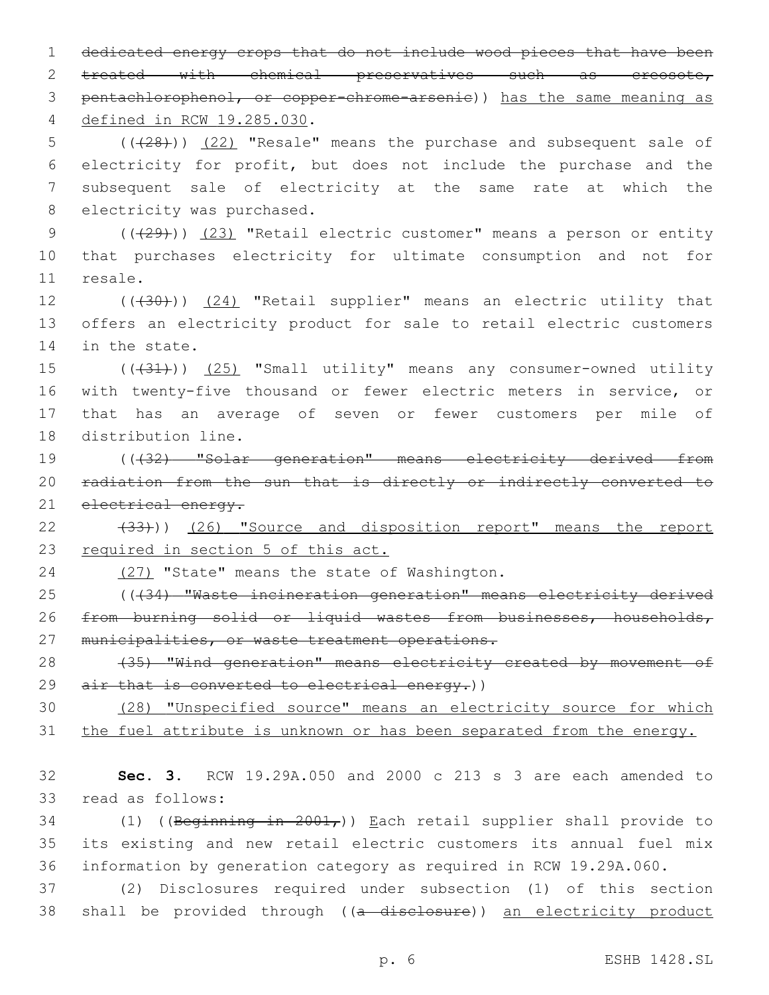1 dedicated energy crops that do not include wood pieces that have been 2 treated with chemical preservatives such as creosote, 3 pentachlorophenol, or copper-chrome-arsenic)) has the same meaning as defined in RCW 19.285.030.4

5 (( $(28)$ )) (22) "Resale" means the purchase and subsequent sale of 6 electricity for profit, but does not include the purchase and the 7 subsequent sale of electricity at the same rate at which the 8 electricity was purchased.

9 (( $(29)$ )) (23) "Retail electric customer" means a person or entity 10 that purchases electricity for ultimate consumption and not for 11 resale.

12 (((30))) (24) "Retail supplier" means an electric utility that 13 offers an electricity product for sale to retail electric customers 14 in the state.

15 (( $(31)$ )) (25) "Small utility" means any consumer-owned utility 16 with twenty-five thousand or fewer electric meters in service, or 17 that has an average of seven or fewer customers per mile of 18 distribution line.

19 (((32) "Solar generation" means electricity derived from 20 radiation from the sun that is directly or indirectly converted to 21 electrical energy.

22 (33))) (26) "Source and disposition report" means the report 23 required in section 5 of this act.

24 (27) "State" means the state of Washington.

25 (((34) "Waste incineration generation" means electricity derived 26 from burning solid or liquid wastes from businesses, households, 27 municipalities, or waste treatment operations.

28 (35) "Wind generation" means electricity created by movement of 29 air that is converted to electrical energy.))

30 (28) "Unspecified source" means an electricity source for which 31 the fuel attribute is unknown or has been separated from the energy.

32 **Sec. 3.** RCW 19.29A.050 and 2000 c 213 s 3 are each amended to 33 read as follows:

34 (1) ((Beginning in  $2001<sub>r</sub>$ )) Each retail supplier shall provide to 35 its existing and new retail electric customers its annual fuel mix 36 information by generation category as required in RCW 19.29A.060.

37 (2) Disclosures required under subsection (1) of this section 38 shall be provided through ((a disclosure)) an electricity product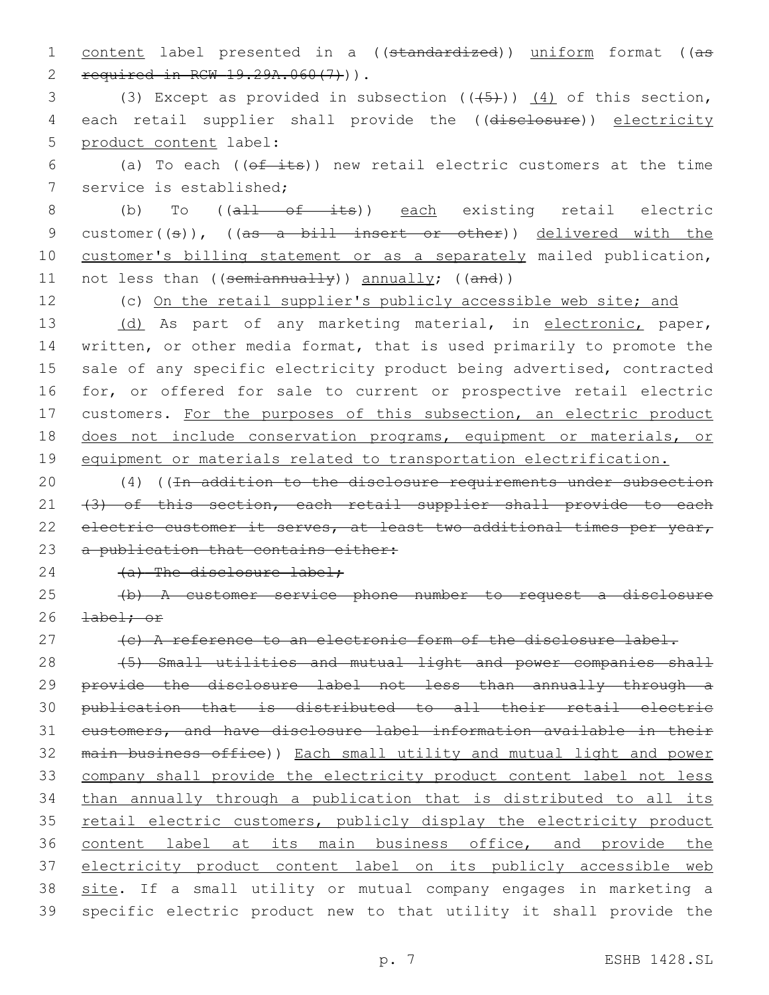1 content label presented in a ((standardized)) uniform format ((as 2 required in RCW 19.29A.060(7))).

3 (3) Except as provided in subsection  $((+5))$   $(4)$  of this section, 4 each retail supplier shall provide the ((disclosure)) electricity 5 product content label:

6 (a) To each ( $(\theta f - it)$ ) new retail electric customers at the time 7 service is established;

8 (b) To ((all of its)) each existing retail electric 9 customer((s)), ((as a bill insert or other)) delivered with the 10 customer's billing statement or as a separately mailed publication, 11 not less than ((semiannually)) annually; ((and))

12 (c) On the retail supplier's publicly accessible web site; and 13 (d) As part of any marketing material, in electronic, paper, 14 written, or other media format, that is used primarily to promote the 15 sale of any specific electricity product being advertised, contracted 16 for, or offered for sale to current or prospective retail electric 17 customers. For the purposes of this subsection, an electric product 18 does not include conservation programs, equipment or materials, or 19 equipment or materials related to transportation electrification.

20 (4) ((In addition to the disclosure requirements under subsection 21 (3) of this section, each retail supplier shall provide to each 22 electric customer it serves, at least two additional times per year, 23 a publication that contains either:

# 24 (a) The disclosure label;

25 (b) A customer service phone number to request a disclosure 26 <del>label; or</del>

27 (c) A reference to an electronic form of the disclosure label.

 (5) Small utilities and mutual light and power companies shall provide the disclosure label not less than annually through a publication that is distributed to all their retail electric customers, and have disclosure label information available in their main business office)) Each small utility and mutual light and power company shall provide the electricity product content label not less than annually through a publication that is distributed to all its 35 retail electric customers, publicly display the electricity product content label at its main business office, and provide the electricity product content label on its publicly accessible web 38 site. If a small utility or mutual company engages in marketing a specific electric product new to that utility it shall provide the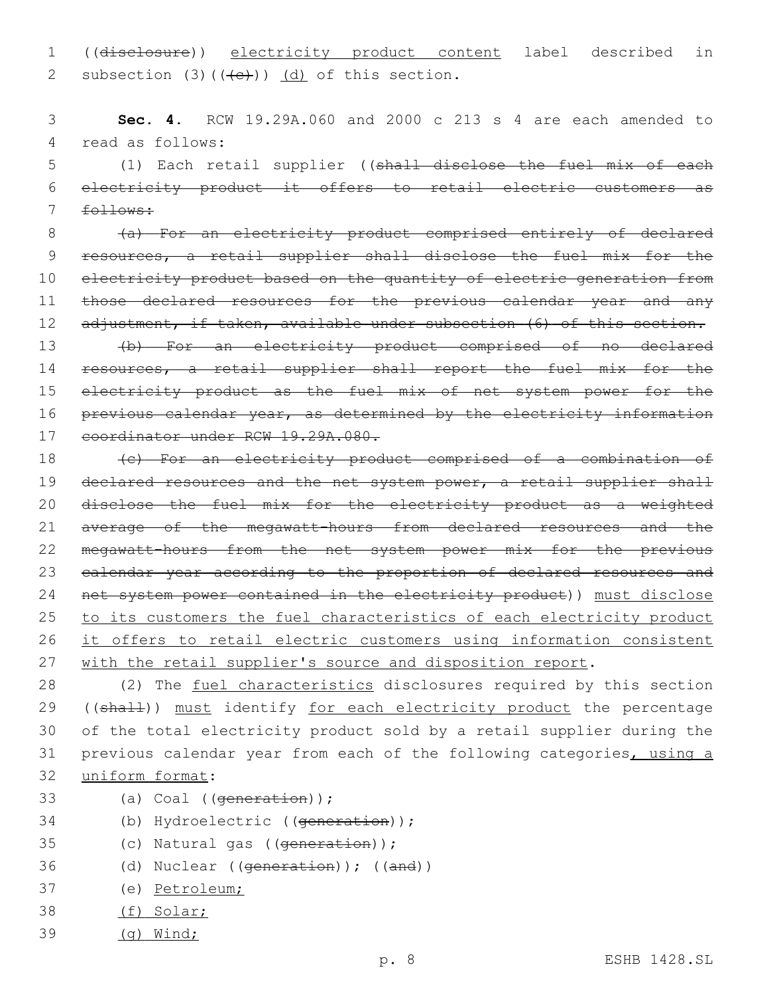1 ((disclosure)) electricity product content label described in Subsection (3)( $(\overline{e})$ ) (d) of this section.

3 **Sec. 4.** RCW 19.29A.060 and 2000 c 213 s 4 are each amended to 4 read as follows:

5 (1) Each retail supplier ((shall disclose the fuel mix of each 6 electricity product it offers to retail electric customers as 7 follows:

8 (a) For an electricity product comprised entirely of declared 9 resources, a retail supplier shall disclose the fuel mix for the 10 electricity product based on the quantity of electric generation from 11 those declared resources for the previous calendar year and any 12 adjustment, if taken, available under subsection (6) of this section.

13 (b) For an electricity product comprised of no declared 14 resources, a retail supplier shall report the fuel mix for the 15 electricity product as the fuel mix of net system power for the 16 previous calendar year, as determined by the electricity information 17 coordinator under RCW 19.29A.080.

18 (c) For an electricity product comprised of a combination of 19 declared resources and the net system power, a retail supplier shall 20 disclose the fuel mix for the electricity product as a weighted 21 average of the megawatt-hours from declared resources and the 22 megawatt-hours from the net system power mix for the previous 23 calendar year according to the proportion of declared resources and 24 net system power contained in the electricity product)) must disclose 25 to its customers the fuel characteristics of each electricity product 26 it offers to retail electric customers using information consistent 27 with the retail supplier's source and disposition report.

28 (2) The fuel characteristics disclosures required by this section 29 ((shall)) must identify for each electricity product the percentage 30 of the total electricity product sold by a retail supplier during the 31 previous calendar year from each of the following categories, using a 32 uniform format:

- 33 (a) Coal ((generation));
- 34 (b) Hydroelectric ((generation));
- 35 (c) Natural gas ((generation));
- 36 (d) Nuclear ((generation)); ((and))
- 37 (e) Petroleum;
- 38 (f) Solar;
- 39 (g) Wind;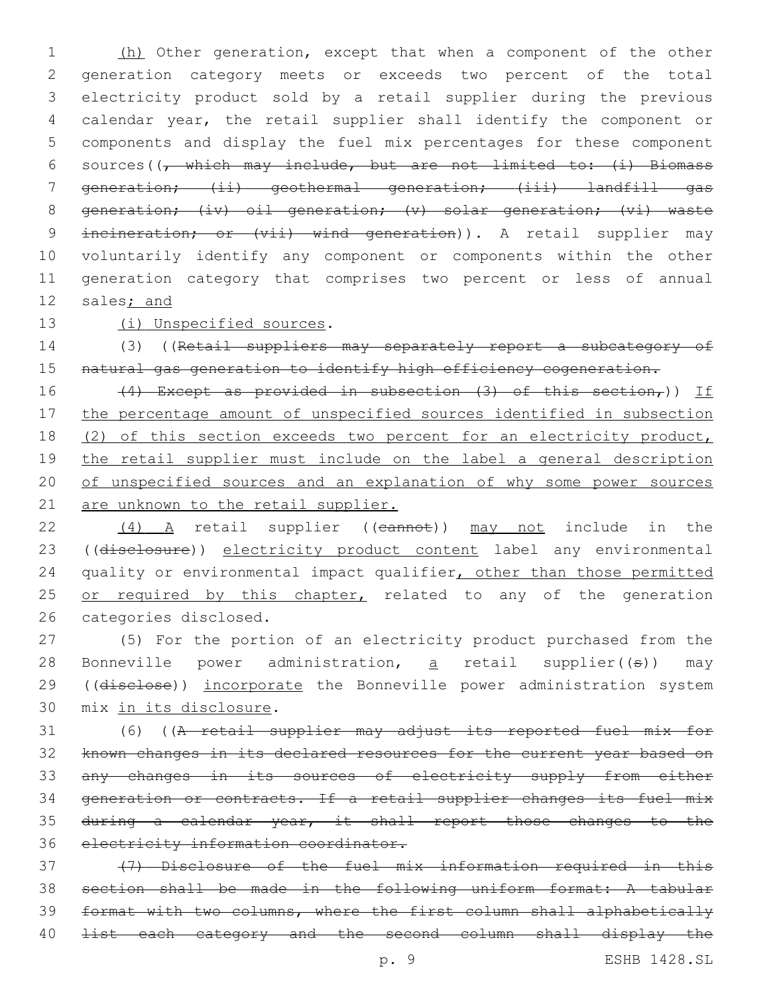(h) Other generation, except that when a component of the other generation category meets or exceeds two percent of the total electricity product sold by a retail supplier during the previous calendar year, the retail supplier shall identify the component or components and display the fuel mix percentages for these component 6 sources( $\left(\frac{1}{f} + \frac{1}{f} + \frac{1}{f} + \frac{1}{f} + \frac{1}{f} + \frac{1}{f} + \frac{1}{f} + \frac{1}{f} + \frac{1}{f} + \frac{1}{f} + \frac{1}{f} + \frac{1}{f} + \frac{1}{f} + \frac{1}{f} + \frac{1}{f} + \frac{1}{f} + \frac{1}{f} + \frac{1}{f} + \frac{1}{f} + \frac{1}{f} + \frac{1}{f} + \frac{1}{f} + \frac{1}{f} + \frac{1}{f} + \frac{1}{f} + \frac{1}{f} +$  generation; (ii) geothermal generation; (iii) landfill gas 8 generation; (iv) oil generation; (v) solar generation; (vi) waste 9 incineration; or (vii) wind generation)). A retail supplier may voluntarily identify any component or components within the other generation category that comprises two percent or less of annual sales; and

13 (i) Unspecified sources.

14 (3) ((Retail suppliers may separately report a subcategory of 15 natural gas generation to identify high efficiency cogeneration.

16 (4) Except as provided in subsection (3) of this section,)) If 17 the percentage amount of unspecified sources identified in subsection 18 (2) of this section exceeds two percent for an electricity product, 19 the retail supplier must include on the label a general description 20 of unspecified sources and an explanation of why some power sources 21 are unknown to the retail supplier.

22 (4) A retail supplier ((cannot)) may not include in the 23 ((disclosure)) electricity product content label any environmental 24 quality or environmental impact qualifier, other than those permitted 25 or required by this chapter, related to any of the generation 26 categories disclosed.

27 (5) For the portion of an electricity product purchased from the 28 Bonneville power administration,  $\overline{a}$  retail supplier((s)) may 29 ((disclose)) incorporate the Bonneville power administration system 30 mix in its disclosure.

 (6) ((A retail supplier may adjust its reported fuel mix for known changes in its declared resources for the current year based on any changes in its sources of electricity supply from either generation or contracts. If a retail supplier changes its fuel mix during a calendar year, it shall report those changes to the electricity information coordinator.

 (7) Disclosure of the fuel mix information required in this section shall be made in the following uniform format: A tabular format with two columns, where the first column shall alphabetically 40 <del>list each category and the second column shall display the</del>

p. 9 ESHB 1428.SL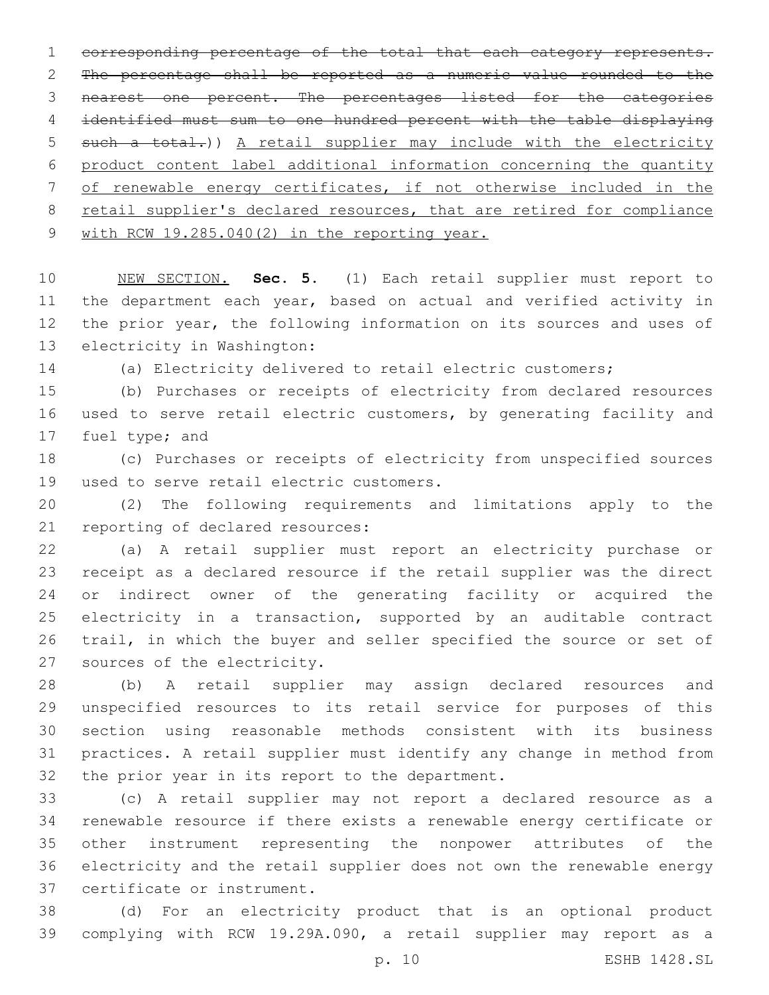corresponding percentage of the total that each category represents. The percentage shall be reported as a numeric value rounded to the nearest one percent. The percentages listed for the categories identified must sum to one hundred percent with the table displaying 5 such a total.)) A retail supplier may include with the electricity product content label additional information concerning the quantity of renewable energy certificates, if not otherwise included in the 8 retail supplier's declared resources, that are retired for compliance with RCW 19.285.040(2) in the reporting year.

 NEW SECTION. **Sec. 5.** (1) Each retail supplier must report to the department each year, based on actual and verified activity in the prior year, the following information on its sources and uses of electricity in Washington:

(a) Electricity delivered to retail electric customers;

 (b) Purchases or receipts of electricity from declared resources used to serve retail electric customers, by generating facility and 17 fuel type; and

 (c) Purchases or receipts of electricity from unspecified sources 19 used to serve retail electric customers.

 (2) The following requirements and limitations apply to the 21 reporting of declared resources:

 (a) A retail supplier must report an electricity purchase or receipt as a declared resource if the retail supplier was the direct or indirect owner of the generating facility or acquired the electricity in a transaction, supported by an auditable contract trail, in which the buyer and seller specified the source or set of 27 sources of the electricity.

 (b) A retail supplier may assign declared resources and unspecified resources to its retail service for purposes of this section using reasonable methods consistent with its business practices. A retail supplier must identify any change in method from 32 the prior year in its report to the department.

 (c) A retail supplier may not report a declared resource as a renewable resource if there exists a renewable energy certificate or other instrument representing the nonpower attributes of the electricity and the retail supplier does not own the renewable energy 37 certificate or instrument.

 (d) For an electricity product that is an optional product complying with RCW 19.29A.090, a retail supplier may report as a

p. 10 ESHB 1428.SL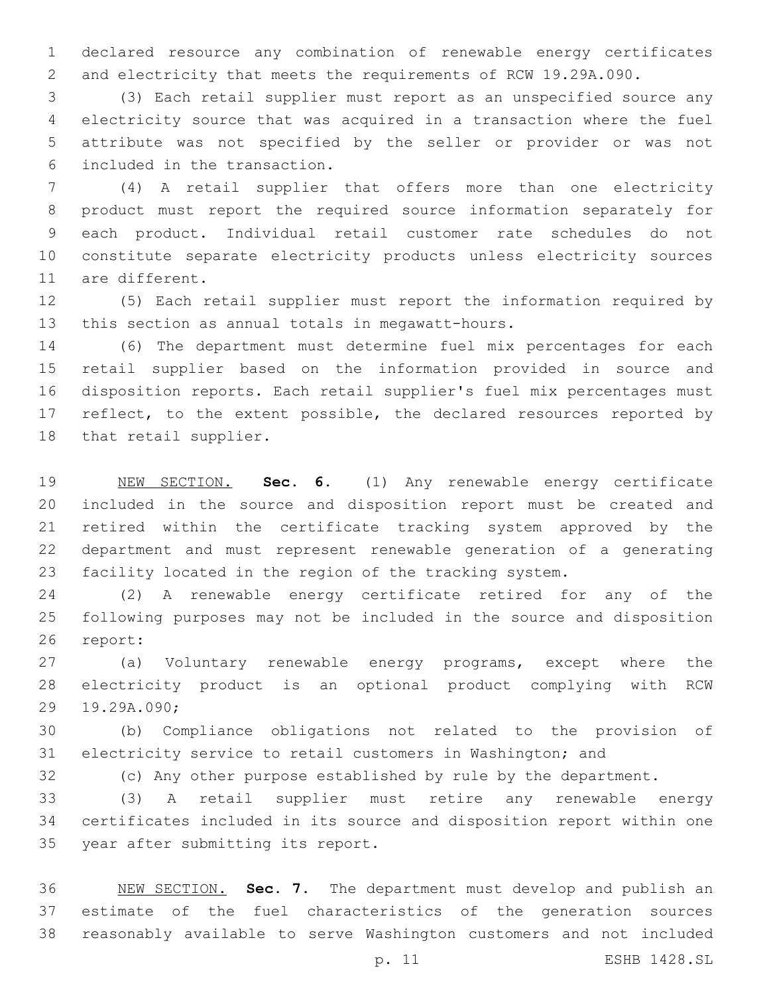declared resource any combination of renewable energy certificates and electricity that meets the requirements of RCW 19.29A.090.

 (3) Each retail supplier must report as an unspecified source any electricity source that was acquired in a transaction where the fuel attribute was not specified by the seller or provider or was not included in the transaction.6

 (4) A retail supplier that offers more than one electricity product must report the required source information separately for each product. Individual retail customer rate schedules do not constitute separate electricity products unless electricity sources 11 are different.

 (5) Each retail supplier must report the information required by 13 this section as annual totals in megawatt-hours.

 (6) The department must determine fuel mix percentages for each retail supplier based on the information provided in source and disposition reports. Each retail supplier's fuel mix percentages must 17 reflect, to the extent possible, the declared resources reported by 18 that retail supplier.

 NEW SECTION. **Sec. 6.** (1) Any renewable energy certificate included in the source and disposition report must be created and retired within the certificate tracking system approved by the department and must represent renewable generation of a generating facility located in the region of the tracking system.

 (2) A renewable energy certificate retired for any of the following purposes may not be included in the source and disposition 26 report:

 (a) Voluntary renewable energy programs, except where the electricity product is an optional product complying with RCW 29 19.29A.090;

 (b) Compliance obligations not related to the provision of electricity service to retail customers in Washington; and

(c) Any other purpose established by rule by the department.

 (3) A retail supplier must retire any renewable energy certificates included in its source and disposition report within one 35 year after submitting its report.

 NEW SECTION. **Sec. 7.** The department must develop and publish an estimate of the fuel characteristics of the generation sources reasonably available to serve Washington customers and not included

p. 11 ESHB 1428.SL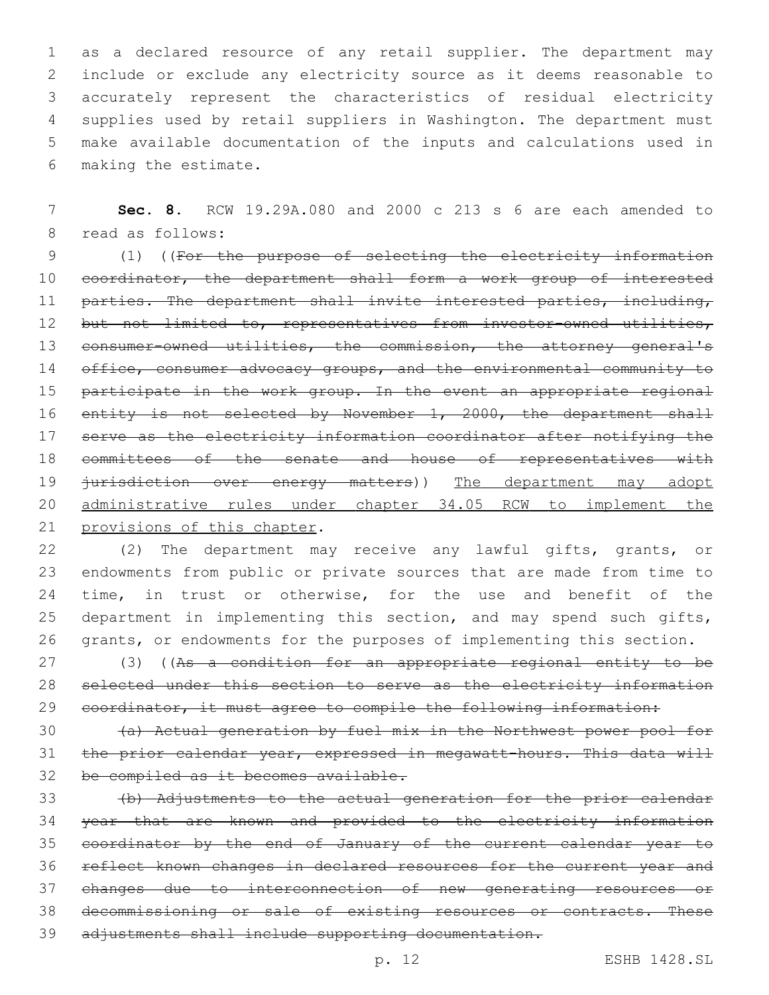as a declared resource of any retail supplier. The department may include or exclude any electricity source as it deems reasonable to accurately represent the characteristics of residual electricity supplies used by retail suppliers in Washington. The department must make available documentation of the inputs and calculations used in 6 making the estimate.

7 **Sec. 8.** RCW 19.29A.080 and 2000 c 213 s 6 are each amended to 8 read as follows:

9 (1) ((For the purpose of selecting the electricity information 10 coordinator, the department shall form a work group of interested 11 parties. The department shall invite interested parties, including, 12 but not limited to, representatives from investor-owned utilities, 13 consumer-owned utilities, the commission, the attorney general's 14 office, consumer advocacy groups, and the environmental community to 15 participate in the work group. In the event an appropriate regional 16 entity is not selected by November 1, 2000, the department shall 17 serve as the electricity information coordinator after notifying the 18 committees of the senate and house of representatives with 19 <del>jurisdiction over energy matters</del>)) The department may adopt 20 administrative rules under chapter 34.05 RCW to implement the 21 provisions of this chapter.

 (2) The department may receive any lawful gifts, grants, or endowments from public or private sources that are made from time to time, in trust or otherwise, for the use and benefit of the 25 department in implementing this section, and may spend such gifts, grants, or endowments for the purposes of implementing this section.

27 (3) ((As a condition for an appropriate regional entity to be 28 selected under this section to serve as the electricity information 29 coordinator, it must agree to compile the following information:

30 (a) Actual generation by fuel mix in the Northwest power pool for 31 the prior calendar year, expressed in megawatt-hours. This data will 32 be compiled as it becomes available.

 (b) Adjustments to the actual generation for the prior calendar year that are known and provided to the electricity information coordinator by the end of January of the current calendar year to reflect known changes in declared resources for the current year and changes due to interconnection of new generating resources or decommissioning or sale of existing resources or contracts. These 39 adjustments shall include supporting documentation.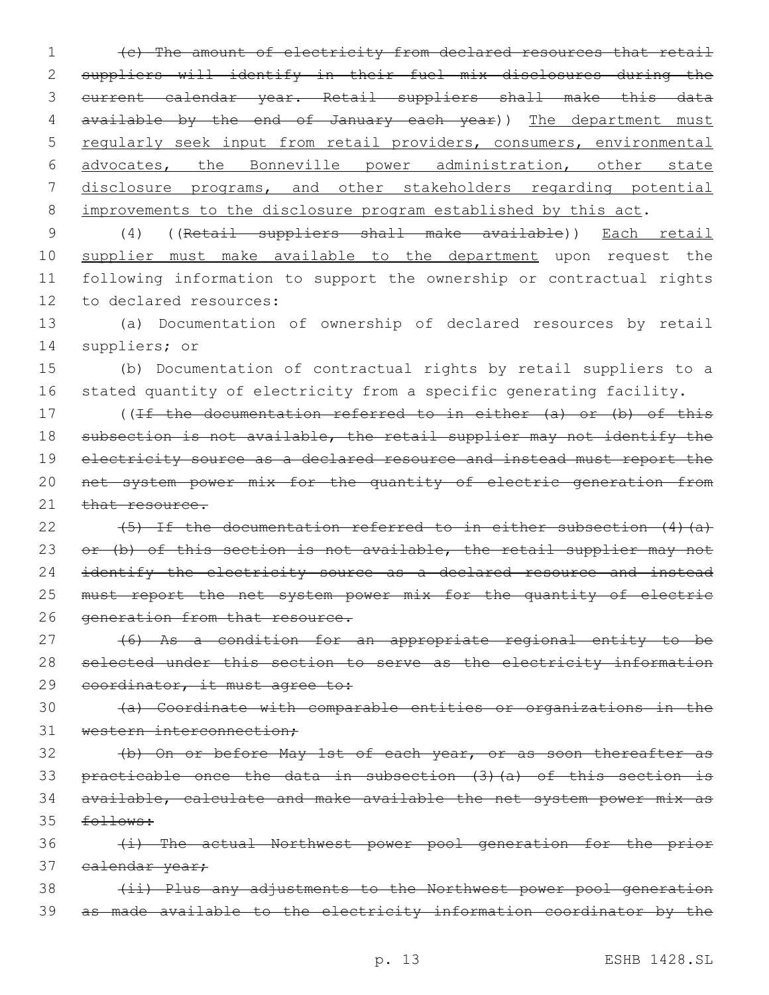(c) The amount of electricity from declared resources that retail suppliers will identify in their fuel mix disclosures during the current calendar year. Retail suppliers shall make this data 4 available by the end of January each year)) The department must 5 regularly seek input from retail providers, consumers, environmental advocates, the Bonneville power administration, other state disclosure programs, and other stakeholders regarding potential 8 improvements to the disclosure program established by this act.

9 (4) ((Retail suppliers shall make available)) Each retail 10 supplier must make available to the department upon request the 11 following information to support the ownership or contractual rights 12 to declared resources:

13 (a) Documentation of ownership of declared resources by retail 14 suppliers; or

15 (b) Documentation of contractual rights by retail suppliers to a 16 stated quantity of electricity from a specific generating facility.

17 ((If the documentation referred to in either (a) or (b) of this 18 subsection is not available, the retail supplier may not identify the 19 electricity source as a declared resource and instead must report the 20 net system power mix for the quantity of electric generation from 21 that resource.

22 (5) If the documentation referred to in either subsection (4) (a) 23 or (b) of this section is not available, the retail supplier may not 24 identify the electricity source as a declared resource and instead 25 must report the net system power mix for the quantity of electric 26 generation from that resource.

27 (6) As a condition for an appropriate regional entity to be 28 selected under this section to serve as the electricity information 29 coordinator, it must agree to:

30 (a) Coordinate with comparable entities or organizations in the 31 western interconnection;

 (b) On or before May 1st of each year, or as soon thereafter as practicable once the data in subsection (3)(a) of this section is available, calculate and make available the net system power mix as 35 follows:

36 (i) The actual Northwest power pool generation for the prior 37 calendar year;

38 (ii) Plus any adjustments to the Northwest power pool generation 39 as made available to the electricity information coordinator by the